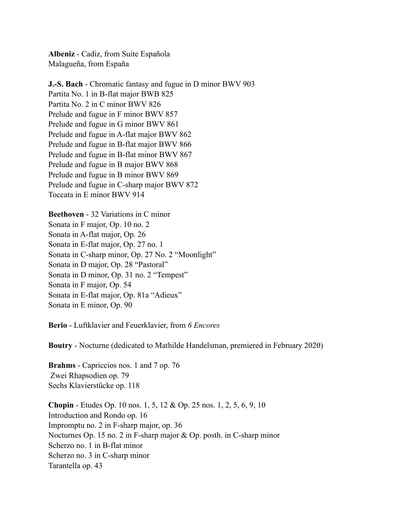**Albeniz** - Cadiz, from Suite Española Malagueña, from España

**J.-S. Bach** - Chromatic fantasy and fugue in D minor BWV 903 Partita No. 1 in B-flat major BWB 825 Partita No. 2 in C minor BWV 826 Prelude and fugue in F minor BWV 857 Prelude and fugue in G minor BWV 861 Prelude and fugue in A-flat major BWV 862 Prelude and fugue in B-flat major BWV 866 Prelude and fugue in B-flat minor BWV 867 Prelude and fugue in B major BWV 868 Prelude and fugue in B minor BWV 869 Prelude and fugue in C-sharp major BWV 872 Toccata in E minor BWV 914

**Beethoven** - 32 Variations in C minor Sonata in F major, Op. 10 no. 2 Sonata in A-flat major, Op. 26 Sonata in E-flat major, Op. 27 no. 1 Sonata in C-sharp minor, Op. 27 No. 2 "Moonlight" Sonata in D major, Op. 28 "Pastoral" Sonata in D minor, Op. 31 no. 2 "Tempest" Sonata in F major, Op. 54 Sonata in E-flat major, Op. 81a "Adieux" Sonata in E minor, Op. 90

**Berio** - Luftklavier and Feuerklavier, from *6 Encores* 

**Boutry** - Nocturne (dedicated to Mathilde Handelsman, premiered in February 2020)

**Brahms** - Capriccios nos. 1 and 7 op. 76 Zwei Rhapsodien op. 79 Sechs Klavierstücke op. 118

**Chopin** - Etudes Op. 10 nos. 1, 5, 12 & Op. 25 nos. 1, 2, 5, 6, 9, 10 Introduction and Rondo op. 16 Impromptu no. 2 in F-sharp major, op. 36 Nocturnes Op. 15 no. 2 in F-sharp major & Op. posth. in C-sharp minor Scherzo no. 1 in B-flat minor Scherzo no. 3 in C-sharp minor Tarantella op. 43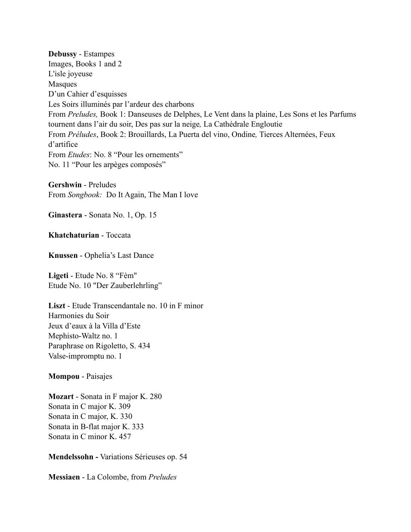**Debussy** - Estampes Images, Books 1 and 2 L'isle joyeuse Masques D'un Cahier d'esquisses Les Soirs illuminés par l'ardeur des charbons From *Preludes,* Book 1: Danseuses de Delphes, Le Vent dans la plaine, Les Sons et les Parfums tournent dans l'air du soir, Des pas sur la neige*,* La Cathédrale Engloutie From *Préludes*, Book 2: Brouillards, La Puerta del vino, Ondine*,* Tierces Alternées, Feux d'artifice From *Etudes*: No. 8 "Pour les ornements" No. 11 "Pour les arpèges composés"

**Gershwin** - Preludes From *Songbook:* Do It Again, The Man I love

**Ginastera** - Sonata No. 1, Op. 15

**Khatchaturian** - Toccata

**Knussen** - Ophelia's Last Dance

**Ligeti** - Etude No. 8 "Fèm" Etude No. 10 "Der Zauberlehrling"

**Liszt** - Etude Transcendantale no. 10 in F minor Harmonies du Soir Jeux d'eaux à la Villa d'Este Mephisto-Waltz no. 1 Paraphrase on Rigoletto, S. 434 Valse-impromptu no. 1

**Mompou** - Paisajes

**Mozart** - Sonata in F major K. 280 Sonata in C major K. 309 Sonata in C major, K. 330 Sonata in B-flat major K. 333 Sonata in C minor K. 457

**Mendelssohn -** Variations Sérieuses op. 54

**Messiaen** - La Colombe, from *Preludes*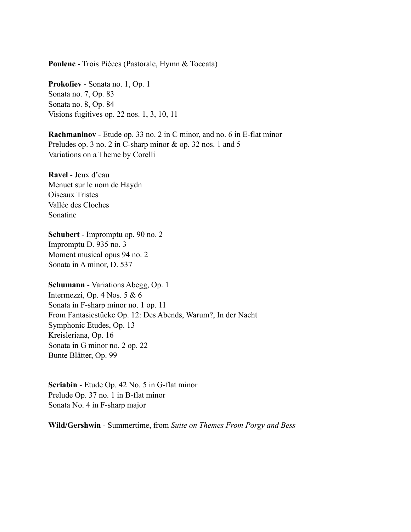**Poulenc** - Trois Pièces (Pastorale, Hymn & Toccata)

**Prokofiev** - Sonata no. 1, Op. 1 Sonata no. 7, Op. 83 Sonata no. 8, Op. 84 Visions fugitives op. 22 nos. 1, 3, 10, 11

**Rachmaninov** - Etude op. 33 no. 2 in C minor, and no. 6 in E-flat minor Preludes op. 3 no. 2 in C-sharp minor & op. 32 nos. 1 and 5 Variations on a Theme by Corelli

**Ravel** - Jeux d'eau Menuet sur le nom de Haydn Oiseaux Tristes Vallée des Cloches Sonatine

**Schubert** - Impromptu op. 90 no. 2 Impromptu D. 935 no. 3 Moment musical opus 94 no. 2 Sonata in A minor, D. 537

**Schumann** - Variations Abegg, Op. 1 Intermezzi, Op. 4 Nos. 5 & 6 Sonata in F-sharp minor no. 1 op. 11 From Fantasiestücke Op. 12: Des Abends, Warum?, In der Nacht Symphonic Etudes, Op. 13 Kreisleriana, Op. 16 Sonata in G minor no. 2 op. 22 Bunte Blätter, Op. 99

**Scriabin** - Etude Op. 42 No. 5 in G-flat minor Prelude Op. 37 no. 1 in B-flat minor Sonata No. 4 in F-sharp major

**Wild/Gershwin** - Summertime, from *Suite on Themes From Porgy and Bess*